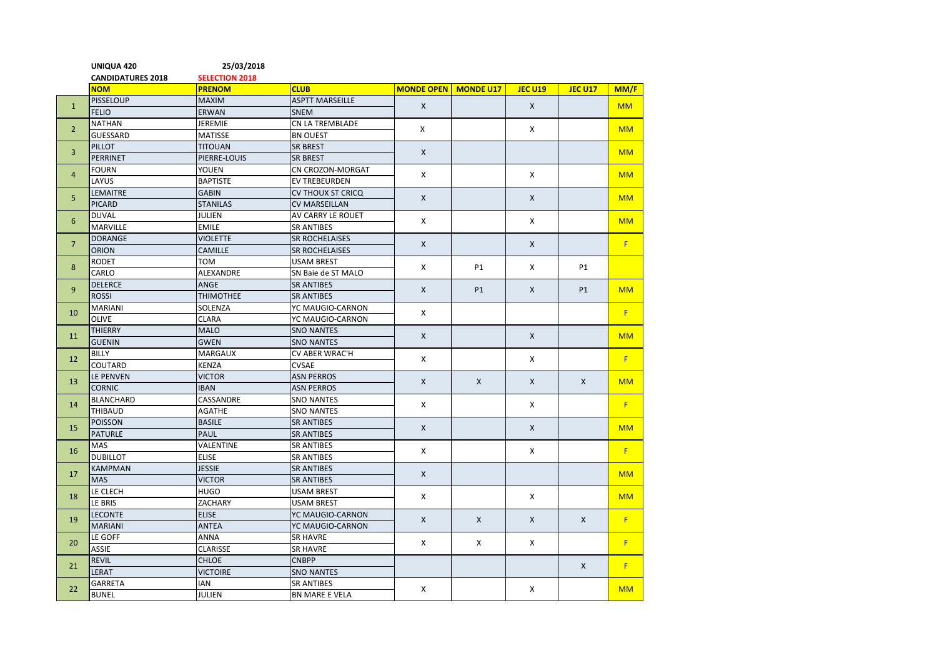|                | UNIQUA 420               | 25/03/2018                   |                                        |                             |              |                |                |           |
|----------------|--------------------------|------------------------------|----------------------------------------|-----------------------------|--------------|----------------|----------------|-----------|
|                | <b>CANDIDATURES 2018</b> | <b>SELECTION 2018</b>        |                                        |                             |              |                |                |           |
|                | <b>NOM</b>               | <b>PRENOM</b>                | <b>CLUB</b>                            | <b>MONDE OPEN</b> MONDE U17 |              | <b>JEC U19</b> | <b>JEC U17</b> | MM/F      |
| $\mathbf{1}$   | <b>PISSELOUP</b>         | <b>MAXIM</b>                 | <b>ASPTT MARSEILLE</b>                 | $\mathsf{X}$                |              | X              |                | <b>MM</b> |
|                | <b>FELIO</b>             | <b>ERWAN</b>                 | <b>SNEM</b>                            |                             |              |                |                |           |
| $2^{\circ}$    | <b>NATHAN</b>            | <b>JEREMIE</b>               | CN LA TREMBLADE                        | X                           |              | X              |                | <b>MM</b> |
|                | <b>GUESSARD</b>          | <b>MATISSE</b>               | <b>BN OUEST</b>                        |                             |              |                |                |           |
| $\overline{3}$ | PILLOT                   | <b>TITOUAN</b>               | <b>SR BREST</b>                        | X                           |              |                |                | <b>MM</b> |
|                | <b>PERRINET</b>          | PIERRE-LOUIS                 | <b>SR BREST</b>                        |                             |              |                |                |           |
| $\overline{4}$ | <b>FOURN</b>             | YOUEN                        | CN CROZON-MORGAT                       | $\mathsf{x}$                |              | X              |                | <b>MM</b> |
|                | LAYUS                    | <b>BAPTISTE</b>              | <b>EV TREBEURDEN</b>                   |                             |              |                |                |           |
| 5              | <b>LEMAITRE</b>          | <b>GABIN</b>                 | <b>CV THOUX ST CRICQ</b>               | $\mathsf{X}$                |              | $\mathsf{x}$   |                | <b>MM</b> |
|                | <b>PICARD</b>            | <b>STANILAS</b>              | <b>CV MARSEILLAN</b>                   |                             |              |                |                |           |
| $6\phantom{1}$ | <b>DUVAL</b>             | <b>JULIEN</b>                | AV CARRY LE ROUET                      | X                           |              | X              |                | <b>MM</b> |
|                | <b>MARVILLE</b>          | <b>EMILE</b>                 | <b>SR ANTIBES</b>                      |                             |              |                |                |           |
| $\overline{7}$ | <b>DORANGE</b>           | <b>VIOLETTE</b>              | <b>SR ROCHELAISES</b>                  | X                           |              | X              |                | F         |
|                | <b>ORION</b>             | <b>CAMILLE</b>               | <b>SR ROCHELAISES</b>                  |                             |              |                |                |           |
| 8              | <b>RODET</b>             | том                          | <b>USAM BREST</b>                      | $\mathsf{x}$                | P1           | X              | <b>P1</b>      |           |
|                | CARLO                    | ALEXANDRE                    | SN Baie de ST MALO                     | $\mathsf{X}$                | <b>P1</b>    | $\mathsf{X}$   | <b>P1</b>      |           |
| $\overline{9}$ | <b>DELERCE</b>           | <b>ANGE</b>                  | <b>SR ANTIBES</b>                      |                             |              |                |                | <b>MM</b> |
|                | <b>ROSSI</b>             | <b>THIMOTHEE</b>             | <b>SR ANTIBES</b>                      | X                           |              |                |                |           |
| 10             | <b>MARIANI</b>           | SOLENZA                      | YC MAUGIO-CARNON                       |                             |              |                |                | F         |
|                | <b>OLIVE</b>             | <b>CLARA</b>                 | YC MAUGIO-CARNON                       | $\mathsf{X}$<br>X<br>X      |              |                |                |           |
| 11<br>12       | <b>THIERRY</b>           | <b>MALO</b>                  | <b>SNO NANTES</b>                      |                             |              | $\mathsf{X}$   |                | <b>MM</b> |
|                | <b>GUENIN</b>            | <b>GWEN</b>                  | <b>SNO NANTES</b>                      |                             |              |                |                |           |
|                | <b>BILLY</b>             | <b>MARGAUX</b>               | <b>CV ABER WRAC'H</b>                  |                             |              | X              |                | F         |
|                | COUTARD<br>LE PENVEN     | <b>KENZA</b>                 | <b>CVSAE</b><br><b>ASN PERROS</b>      |                             |              |                |                |           |
| 13             | <b>CORNIC</b>            | <b>VICTOR</b><br><b>IBAN</b> | <b>ASN PERROS</b>                      |                             | X            | X              | X              | <b>MM</b> |
|                | <b>BLANCHARD</b>         | CASSANDRE                    |                                        | X<br>$\mathsf{X}$<br>X      |              |                |                |           |
| 14             | THIBAUD                  | <b>AGATHE</b>                | <b>SNO NANTES</b><br><b>SNO NANTES</b> |                             |              | X              |                | F         |
|                | <b>POISSON</b>           | <b>BASILE</b>                | <b>SR ANTIBES</b>                      |                             |              |                |                |           |
| 15             | <b>PATURLE</b>           | PAUL                         | <b>SR ANTIBES</b>                      |                             |              | $\mathsf{x}$   |                | <b>MM</b> |
|                | MAS                      | VALENTINE                    | <b>SR ANTIBES</b>                      |                             |              |                |                |           |
| 16             | <b>DUBILLOT</b>          | <b>ELISE</b>                 | <b>SR ANTIBES</b>                      |                             |              | X              |                | F         |
| 17             | <b>KAMPMAN</b>           | <b>JESSIE</b>                | <b>SR ANTIBES</b>                      | X                           |              |                |                |           |
|                | <b>MAS</b>               | <b>VICTOR</b>                | <b>SR ANTIBES</b>                      |                             |              |                |                | <b>MM</b> |
| 18             | LE CLECH                 | <b>HUGO</b>                  | <b>USAM BREST</b>                      | X                           |              |                |                |           |
|                | LE BRIS                  | ZACHARY                      | <b>USAM BREST</b>                      |                             |              | X              |                | <b>MM</b> |
| 19             | <b>LECONTE</b>           | <b>ELISE</b>                 | YC MAUGIO-CARNON                       | $\mathsf{X}$                | $\mathsf{X}$ | $\mathsf{X}$   | $\mathsf{X}$   |           |
|                | <b>MARIANI</b>           | <b>ANTEA</b>                 | YC MAUGIO-CARNON                       |                             |              |                |                | F         |
| 20             | LE GOFF                  | <b>ANNA</b>                  | <b>SR HAVRE</b>                        | X                           | X            | X              |                |           |
|                | <b>ASSIE</b>             | <b>CLARISSE</b>              | <b>SR HAVRE</b>                        |                             |              |                |                | F         |
| 21             | <b>REVIL</b>             | <b>CHLOE</b>                 | <b>CNBPP</b>                           |                             |              |                |                |           |
|                | LERAT                    | <b>VICTOIRE</b>              | <b>SNO NANTES</b>                      |                             |              |                | X              | F         |
| 22             | <b>GARRETA</b>           | IAN                          | <b>SR ANTIBES</b>                      |                             |              |                |                |           |
|                | <b>BUNEL</b>             | <b>JULIEN</b>                | <b>BN MARE E VELA</b>                  | X                           |              | X              |                | <b>MM</b> |